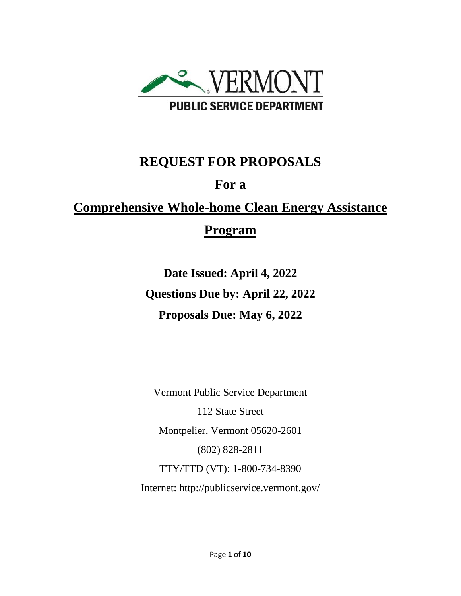

# **REQUEST FOR PROPOSALS**

# **For a**

# **Comprehensive Whole-home Clean Energy Assistance Program**

**Date Issued: April 4, 2022 Questions Due by: April 22, 2022 Proposals Due: May 6, 2022**

Vermont Public Service Department 112 State Street Montpelier, Vermont 05620-2601 (802) 828-2811 TTY/TTD (VT): 1-800-734-8390 Internet:<http://publicservice.vermont.gov/>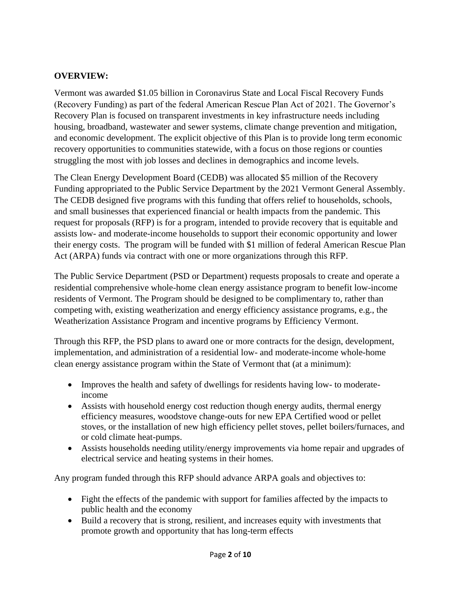#### **OVERVIEW:**

Vermont was awarded \$1.05 billion in Coronavirus State and Local Fiscal Recovery Funds (Recovery Funding) as part of the federal American Rescue Plan Act of 2021. The Governor's Recovery Plan is focused on transparent investments in key infrastructure needs including housing, broadband, wastewater and sewer systems, climate change prevention and mitigation, and economic development. The explicit objective of this Plan is to provide long term economic recovery opportunities to communities statewide, with a focus on those regions or counties struggling the most with job losses and declines in demographics and income levels.

The Clean Energy Development Board (CEDB) was allocated \$5 million of the Recovery Funding appropriated to the Public Service Department by the 2021 Vermont General Assembly. The CEDB designed five programs with this funding that offers relief to households, schools, and small businesses that experienced financial or health impacts from the pandemic. This request for proposals (RFP) is for a program, intended to provide recovery that is equitable and assists low- and moderate-income households to support their economic opportunity and lower their energy costs. The program will be funded with \$1 million of federal American Rescue Plan Act (ARPA) funds via contract with one or more organizations through this RFP.

The Public Service Department (PSD or Department) requests proposals to create and operate a residential comprehensive whole-home clean energy assistance program to benefit low-income residents of Vermont. The Program should be designed to be complimentary to, rather than competing with, existing weatherization and energy efficiency assistance programs, e.g., the Weatherization Assistance Program and incentive programs by Efficiency Vermont.

Through this RFP, the PSD plans to award one or more contracts for the design, development, implementation, and administration of a residential low- and moderate-income whole-home clean energy assistance program within the State of Vermont that (at a minimum):

- Improves the health and safety of dwellings for residents having low- to moderateincome
- Assists with household energy cost reduction though energy audits, thermal energy efficiency measures, woodstove change-outs for new EPA Certified wood or pellet stoves, or the installation of new high efficiency pellet stoves, pellet boilers/furnaces, and or cold climate heat-pumps.
- Assists households needing utility/energy improvements via home repair and upgrades of electrical service and heating systems in their homes.

Any program funded through this RFP should advance ARPA goals and objectives to:

- Fight the effects of the pandemic with support for families affected by the impacts to public health and the economy
- Build a recovery that is strong, resilient, and increases equity with investments that promote growth and opportunity that has long-term effects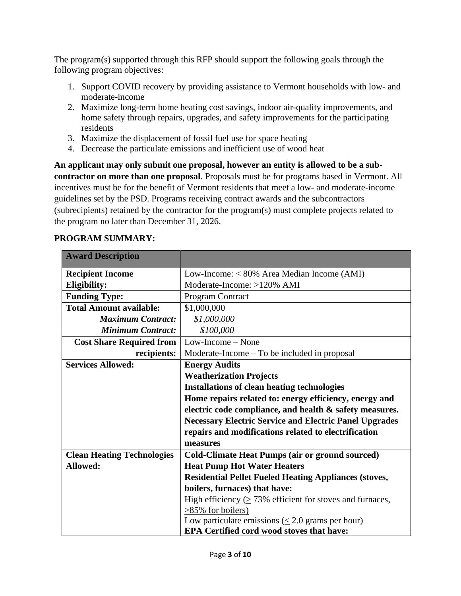The program(s) supported through this RFP should support the following goals through the following program objectives:

- 1. Support COVID recovery by providing assistance to Vermont households with low- and moderate-income
- 2. Maximize long-term home heating cost savings, indoor air-quality improvements, and home safety through repairs, upgrades, and safety improvements for the participating residents
- 3. Maximize the displacement of fossil fuel use for space heating
- 4. Decrease the particulate emissions and inefficient use of wood heat

**An applicant may only submit one proposal, however an entity is allowed to be a subcontractor on more than one proposal**. Proposals must be for programs based in Vermont. All incentives must be for the benefit of Vermont residents that meet a low- and moderate-income guidelines set by the PSD. Programs receiving contract awards and the subcontractors (subrecipients) retained by the contractor for the program(s) must complete projects related to the program no later than December 31, 2026.

## **PROGRAM SUMMARY:**

| <b>Award Description</b>          |                                                                  |
|-----------------------------------|------------------------------------------------------------------|
| <b>Recipient Income</b>           | Low-Income: $\leq 80\%$ Area Median Income (AMI)                 |
| <b>Eligibility:</b>               | Moderate-Income: $\geq$ 120% AMI                                 |
| <b>Funding Type:</b>              | Program Contract                                                 |
| <b>Total Amount available:</b>    | \$1,000,000                                                      |
| <b>Maximum Contract:</b>          | \$1,000,000                                                      |
| <b>Minimum Contract:</b>          | \$100,000                                                        |
| <b>Cost Share Required from</b>   | $Low-Income - None$                                              |
| recipients:                       | $Modernate-Income - To be included in proposal$                  |
| <b>Services Allowed:</b>          | <b>Energy Audits</b>                                             |
|                                   | <b>Weatherization Projects</b>                                   |
|                                   | <b>Installations of clean heating technologies</b>               |
|                                   | Home repairs related to: energy efficiency, energy and           |
|                                   | electric code compliance, and health & safety measures.          |
|                                   | <b>Necessary Electric Service and Electric Panel Upgrades</b>    |
|                                   | repairs and modifications related to electrification             |
|                                   | measures                                                         |
| <b>Clean Heating Technologies</b> | <b>Cold-Climate Heat Pumps (air or ground sourced)</b>           |
| Allowed:                          | <b>Heat Pump Hot Water Heaters</b>                               |
|                                   | <b>Residential Pellet Fueled Heating Appliances (stoves,</b>     |
|                                   | boilers, furnaces) that have:                                    |
|                                   | High efficiency $( \geq 73\%$ efficient for stoves and furnaces, |
|                                   | $>85\%$ for boilers)                                             |
|                                   | Low particulate emissions $(\leq 2.0$ grams per hour)            |
|                                   | <b>EPA Certified cord wood stoves that have:</b>                 |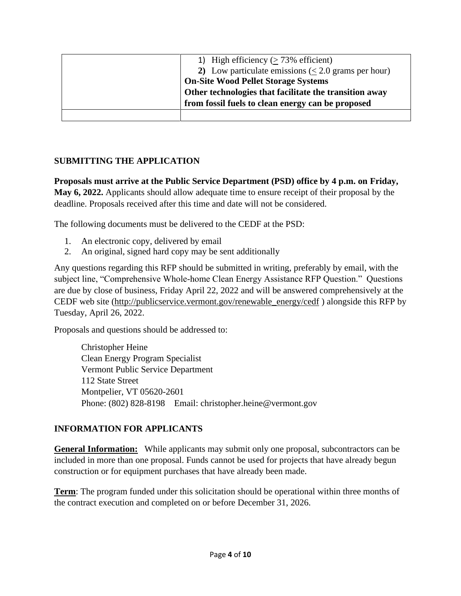| 1) High efficiency $($ > 73% efficient)                   |
|-----------------------------------------------------------|
| 2) Low particulate emissions ( $\leq$ 2.0 grams per hour) |
| <b>On-Site Wood Pellet Storage Systems</b>                |
| Other technologies that facilitate the transition away    |
| from fossil fuels to clean energy can be proposed         |
|                                                           |

### **SUBMITTING THE APPLICATION**

**Proposals must arrive at the Public Service Department (PSD) office by 4 p.m. on Friday, May 6, 2022.** Applicants should allow adequate time to ensure receipt of their proposal by the deadline. Proposals received after this time and date will not be considered.

The following documents must be delivered to the CEDF at the PSD:

- 1. An electronic copy, delivered by email
- 2. An original, signed hard copy may be sent additionally

Any questions regarding this RFP should be submitted in writing, preferably by email, with the subject line, "Comprehensive Whole-home Clean Energy Assistance RFP Question." Questions are due by close of business, Friday April 22, 2022 and will be answered comprehensively at [the](http://publicservice.vermont.gov/announcements/rfps) CEDF web site [\(http://publicservice.vermont.gov/renewable\\_energy/cedf](http://publicservice.vermont.gov/renewable_energy/cedf) ) alongside this RFP by Tuesday, April 26, 2022.

Proposals and questions should be addressed to:

Christopher Heine Clean Energy Program Specialist Vermont Public Service Department 112 State Street Montpelier, VT 05620-2601 Phone: (802) 828-8198 Email: christopher.heine@vermont.gov

### **INFORMATION FOR APPLICANTS**

**General Information:** While applicants may submit only one proposal, subcontractors can be included in more than one proposal. Funds cannot be used for projects that have already begun construction or for equipment purchases that have already been made.

**Term**: The program funded under this solicitation should be operational within three months of the contract execution and completed on or before December 31, 2026.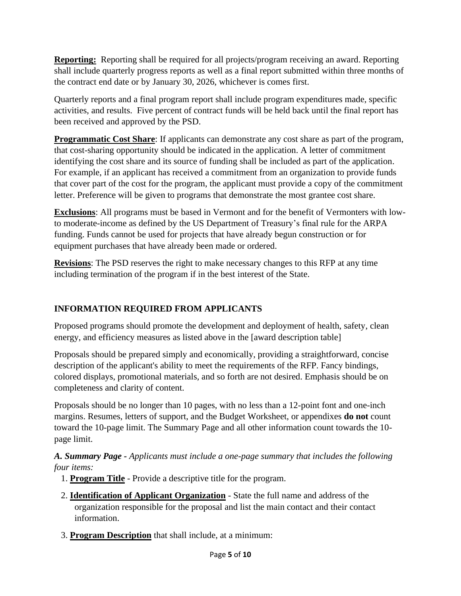**Reporting:** Reporting shall be required for all projects/program receiving an award. Reporting shall include quarterly progress reports as well as a final report submitted within three months of the contract end date or by January 30, 2026, whichever is comes first.

Quarterly reports and a final program report shall include program expenditures made, specific activities, and results. Five percent of contract funds will be held back until the final report has been received and approved by the PSD.

**Programmatic Cost Share:** If applicants can demonstrate any cost share as part of the program, that cost-sharing opportunity should be indicated in the application. A letter of commitment identifying the cost share and its source of funding shall be included as part of the application. For example, if an applicant has received a commitment from an organization to provide funds that cover part of the cost for the program, the applicant must provide a copy of the commitment letter. Preference will be given to programs that demonstrate the most grantee cost share.

**Exclusions**: All programs must be based in Vermont and for the benefit of Vermonters with lowto moderate-income as defined by the US Department of Treasury's final rule for the ARPA funding. Funds cannot be used for projects that have already begun construction or for equipment purchases that have already been made or ordered.

**Revisions**: The PSD reserves the right to make necessary changes to this RFP at any time including termination of the program if in the best interest of the State.

# **INFORMATION REQUIRED FROM APPLICANTS**

Proposed programs should promote the development and deployment of health, safety, clean energy, and efficiency measures as listed above in the [award description table]

Proposals should be prepared simply and economically, providing a straightforward, concise description of the applicant's ability to meet the requirements of the RFP. Fancy bindings, colored displays, promotional materials, and so forth are not desired. Emphasis should be on completeness and clarity of content.

Proposals should be no longer than 10 pages, with no less than a 12-point font and one-inch margins. Resumes, letters of support, and the Budget Worksheet, or appendixes **do not** count toward the 10-page limit. The Summary Page and all other information count towards the 10 page limit.

*A. Summary Page - Applicants must include a one-page summary that includes the following four items:*

- 1. **Program Title** Provide a descriptive title for the program.
- 2. **Identification of Applicant Organization** State the full name and address of the organization responsible for the proposal and list the main contact and their contact information.
- 3. **Program Description** that shall include, at a minimum: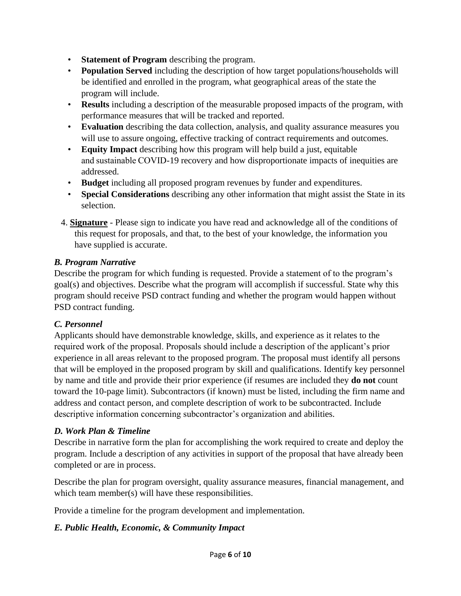- **Statement of Program** describing the program.
- **Population Served** including the description of how target populations/households will be identified and enrolled in the program, what geographical areas of the state the program will include.
- **Results** including a description of the measurable proposed impacts of the program, with performance measures that will be tracked and reported.
- **Evaluation** describing the data collection, analysis, and quality assurance measures you will use to assure ongoing, effective tracking of contract requirements and outcomes.
- **Equity Impact** describing how this program will help build a just, equitable and sustainable COVID-19 recovery and how disproportionate impacts of inequities are addressed.
- **Budget** including all proposed program revenues by funder and expenditures.
- **Special Considerations** describing any other information that might assist the State in its selection.
- 4. **Signature** Please sign to indicate you have read and acknowledge all of the conditions of this request for proposals, and that, to the best of your knowledge, the information you have supplied is accurate.

## *B. Program Narrative*

Describe the program for which funding is requested. Provide a statement of to the program's goal(s) and objectives. Describe what the program will accomplish if successful. State why this program should receive PSD contract funding and whether the program would happen without PSD contract funding.

# *C. Personnel*

Applicants should have demonstrable knowledge, skills, and experience as it relates to the required work of the proposal. Proposals should include a description of the applicant's prior experience in all areas relevant to the proposed program. The proposal must identify all persons that will be employed in the proposed program by skill and qualifications. Identify key personnel by name and title and provide their prior experience (if resumes are included they **do not** count toward the 10-page limit). Subcontractors (if known) must be listed, including the firm name and address and contact person, and complete description of work to be subcontracted. Include descriptive information concerning subcontractor's organization and abilities.

# *D. Work Plan & Timeline*

Describe in narrative form the plan for accomplishing the work required to create and deploy the program. Include a description of any activities in support of the proposal that have already been completed or are in process.

Describe the plan for program oversight, quality assurance measures, financial management, and which team member(s) will have these responsibilities.

Provide a timeline for the program development and implementation.

# *E. Public Health, Economic, & Community Impact*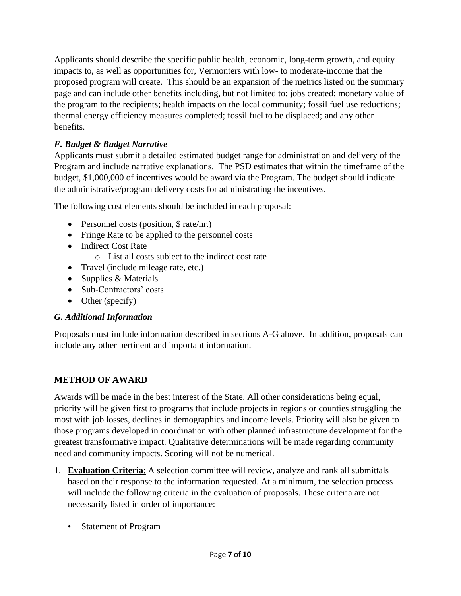Applicants should describe the specific public health, economic, long-term growth, and equity impacts to, as well as opportunities for, Vermonters with low- to moderate-income that the proposed program will create. This should be an expansion of the metrics listed on the summary page and can include other benefits including, but not limited to: jobs created; monetary value of the program to the recipients; health impacts on the local community; fossil fuel use reductions; thermal energy efficiency measures completed; fossil fuel to be displaced; and any other benefits.

# *F. Budget & Budget Narrative*

Applicants must submit a detailed estimated budget range for administration and delivery of the Program and include narrative explanations. The PSD estimates that within the timeframe of the budget, \$1,000,000 of incentives would be award via the Program. The budget should indicate the administrative/program delivery costs for administrating the incentives.

The following cost elements should be included in each proposal:

- Personnel costs (position,  $\frac{1}{2}$  rate/hr.)
- Fringe Rate to be applied to the personnel costs
- Indirect Cost Rate
	- o List all costs subject to the indirect cost rate
- Travel (include mileage rate, etc.)
- Supplies & Materials
- Sub-Contractors' costs
- Other (specify)

### *G. Additional Information*

Proposals must include information described in sections A-G above. In addition, proposals can include any other pertinent and important information.

### **METHOD OF AWARD**

Awards will be made in the best interest of the State. All other considerations being equal, priority will be given first to programs that include projects in regions or counties struggling the most with job losses, declines in demographics and income levels. Priority will also be given to those programs developed in coordination with other planned infrastructure development for the greatest transformative impact. Qualitative determinations will be made regarding community need and community impacts. Scoring will not be numerical.

- 1. **Evaluation Criteria**: A selection committee will review, analyze and rank all submittals based on their response to the information requested. At a minimum, the selection process will include the following criteria in the evaluation of proposals. These criteria are not necessarily listed in order of importance:
	- Statement of Program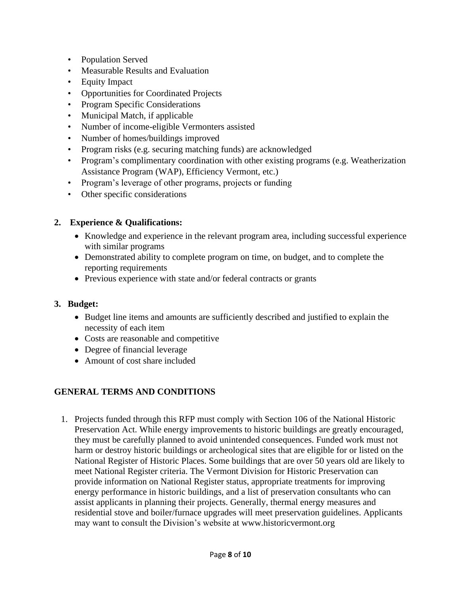- Population Served
- Measurable Results and Evaluation
- Equity Impact
- Opportunities for Coordinated Projects
- Program Specific Considerations
- Municipal Match, if applicable
- Number of income-eligible Vermonters assisted
- Number of homes/buildings improved
- Program risks (e.g. securing matching funds) are acknowledged
- Program's complimentary coordination with other existing programs (e.g. Weatherization Assistance Program (WAP), Efficiency Vermont, etc.)
- Program's leverage of other programs, projects or funding
- Other specific considerations

#### **2. Experience & Qualifications:**

- Knowledge and experience in the relevant program area, including successful experience with similar programs
- Demonstrated ability to complete program on time, on budget, and to complete the reporting requirements
- Previous experience with state and/or federal contracts or grants

#### **3. Budget:**

- Budget line items and amounts are sufficiently described and justified to explain the necessity of each item
- Costs are reasonable and competitive
- Degree of financial leverage
- Amount of cost share included

### **GENERAL TERMS AND CONDITIONS**

1. Projects funded through this RFP must comply with Section 106 of the National Historic Preservation Act. While energy improvements to historic buildings are greatly encouraged, they must be carefully planned to avoid unintended consequences. Funded work must not harm or destroy historic buildings or archeological sites that are eligible for or listed on the National Register of Historic Places. Some buildings that are over 50 years old are likely to meet National Register criteria. The Vermont Division for Historic Preservation can provide information on National Register status, appropriate treatments for improving energy performance in historic buildings, and a list of preservation consultants who can assist applicants in planning their projects. Generally, thermal energy measures and residential stove and boiler/furnace upgrades will meet preservation guidelines. Applicants may want to consult the Division's website at [www.historicvermont.org](http://www.historicvermont.org/)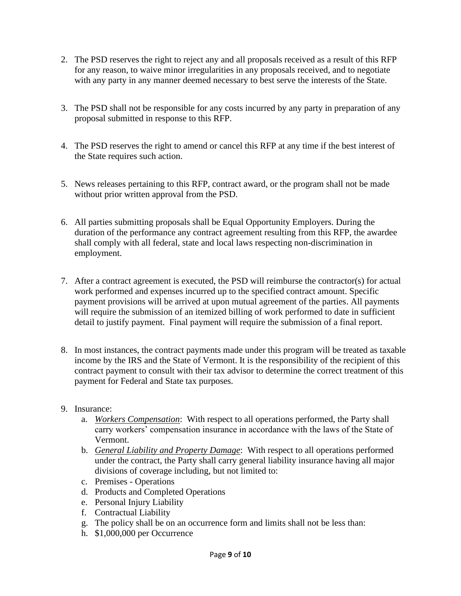- 2. The PSD reserves the right to reject any and all proposals received as a result of this RFP for any reason, to waive minor irregularities in any proposals received, and to negotiate with any party in any manner deemed necessary to best serve the interests of the State.
- 3. The PSD shall not be responsible for any costs incurred by any party in preparation of any proposal submitted in response to this RFP.
- 4. The PSD reserves the right to amend or cancel this RFP at any time if the best interest of the State requires such action.
- 5. News releases pertaining to this RFP, contract award, or the program shall not be made without prior written approval from the PSD.
- 6. All parties submitting proposals shall be Equal Opportunity Employers. During the duration of the performance any contract agreement resulting from this RFP, the awardee shall comply with all federal, state and local laws respecting non-discrimination in employment.
- 7. After a contract agreement is executed, the PSD will reimburse the contractor(s) for actual work performed and expenses incurred up to the specified contract amount. Specific payment provisions will be arrived at upon mutual agreement of the parties. All payments will require the submission of an itemized billing of work performed to date in sufficient detail to justify payment. Final payment will require the submission of a final report.
- 8. In most instances, the contract payments made under this program will be treated as taxable income by the IRS and the State of Vermont. It is the responsibility of the recipient of this contract payment to consult with their tax advisor to determine the correct treatment of this payment for Federal and State tax purposes.
- 9. Insurance:
	- a. *Workers Compensation*: With respect to all operations performed, the Party shall carry workers' compensation insurance in accordance with the laws of the State of Vermont.
	- b. *General Liability and Property Damage*: With respect to all operations performed under the contract, the Party shall carry general liability insurance having all major divisions of coverage including, but not limited to:
	- c. Premises Operations
	- d. Products and Completed Operations
	- e. Personal Injury Liability
	- f. Contractual Liability
	- g. The policy shall be on an occurrence form and limits shall not be less than:
	- h. \$1,000,000 per Occurrence